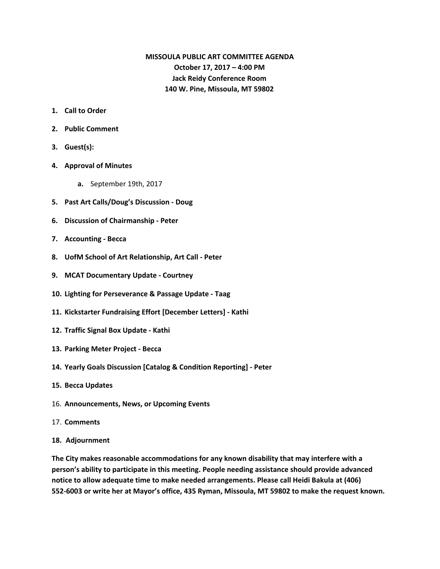# **MISSOULA PUBLIC ART COMMITTEE AGENDA October 17, 2017 – 4:00 PM Jack Reidy Conference Room 140 W. Pine, Missoula, MT 59802**

- **1. Call to Order**
- **2. Public Comment**
- **3. Guest(s):**
- **4. Approval of Minutes**
	- **a.** September 19th, 2017
- **5. Past Art Calls/Doug's Discussion - Doug**
- **6. Discussion of Chairmanship - Peter**
- **7. Accounting - Becca**
- **8. UofM School of Art Relationship, Art Call - Peter**
- **9. MCAT Documentary Update - Courtney**
- **10. Lighting for Perseverance & Passage Update - Taag**
- **11. Kickstarter Fundraising Effort [December Letters] - Kathi**
- **12. Traffic Signal Box Update - Kathi**
- **13. Parking Meter Project - Becca**
- **14. Yearly Goals Discussion [Catalog & Condition Reporting] - Peter**
- **15. Becca Updates**
- 16. **Announcements, News, or Upcoming Events**
- 17. **Comments**
- **18. Adjournment**

**The City makes reasonable accommodations for any known disability that may interfere with a person's ability to participate in this meeting. People needing assistance should provide advanced notice to allow adequate time to make needed arrangements. Please call Heidi Bakula at (406) 552-6003 or write her at Mayor's office, 435 Ryman, Missoula, MT 59802 to make the request known.**